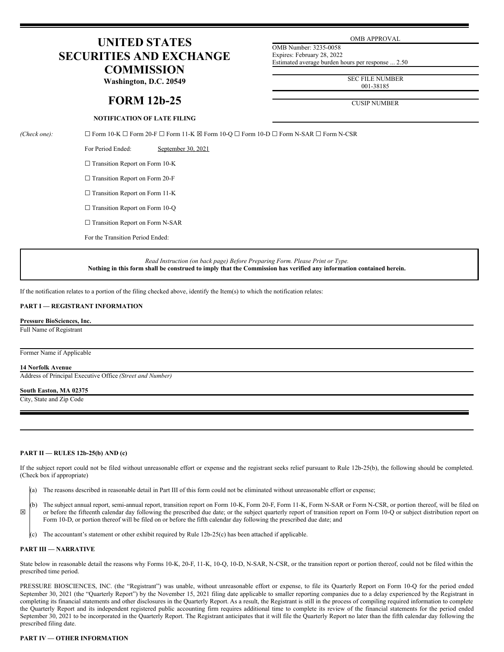# **UNITED STATES SECURITIES AND EXCHANGE COMMISSION**

**Washington, D.C. 20549**

# **FORM 12b-25**

# **NOTIFICATION OF LATE FILING**

OMB APPROVAL

OMB Number: 3235-0058 Expires: February 28, 2022 Estimated average burden hours per response ... 2.50

> SEC FILE NUMBER 001-38185

CUSIP NUMBER

*(Check one):* ☐ Form 10-K ☐ Form 20-F ☐ Form 11-K ☒ Form 10-Q ☐ Form 10-D ☐ Form N-SAR ☐ Form N-CSR

For Period Ended: September 30, 2021

□ Transition Report on Form 10-K

□ Transition Report on Form 20-F

□ Transition Report on Form 11-K

□ Transition Report on Form 10-Q

□ Transition Report on Form N-SAR

For the Transition Period Ended:

*Read Instruction (on back page) Before Preparing Form. Please Print or Type.* Nothing in this form shall be construed to imply that the Commission has verified any information contained herein.

If the notification relates to a portion of the filing checked above, identify the Item(s) to which the notification relates:

## **PART I — REGISTRANT INFORMATION**

#### **Pressure BioSciences, Inc.**

Full Name of Registrant

#### Former Name if Applicable

### **14 Norfolk Avenue**

Address of Principal Executive Office *(Street and Number)*

#### **South Easton, MA 02375**

City, State and Zip Code

#### **PART II — RULES 12b-25(b) AND (c)**

If the subject report could not be filed without unreasonable effort or expense and the registrant seeks relief pursuant to Rule 12b-25(b), the following should be completed. (Check box if appropriate)

(a) The reasons described in reasonable detail in Part III of this form could not be eliminated without unreasonable effort or expense;

☒ (b) The subject annual report, semi-annual report, transition report on Form 10-K, Form 20-F, Form 11-K, Form N-SAR or Form N-CSR, or portion thereof, will be filed on or before the fifteenth calendar day following the prescribed due date; or the subject quarterly report of transition report on Form 10-Q or subject distribution report on Form 10-D, or portion thereof will be filed on or before the fifth calendar day following the prescribed due date; and

(c) The accountant's statement or other exhibit required by Rule 12b-25(c) has been attached if applicable.

#### **PART III — NARRATIVE**

State below in reasonable detail the reasons why Forms 10-K, 20-F, 11-K, 10-Q, 10-D, N-SAR, N-CSR, or the transition report or portion thereof, could not be filed within the prescribed time period.

PRESSURE BIOSCIENCES, INC. (the "Registrant") was unable, without unreasonable effort or expense, to file its Quarterly Report on Form 10-Q for the period ended September 30, 2021 (the "Quarterly Report") by the November 15, 2021 filing date applicable to smaller reporting companies due to a delay experienced by the Registrant in completing its financial statements and other disclosures in the Quarterly Report. As a result, the Registrant is still in the process of compiling required information to complete the Quarterly Report and its independent registered public accounting firm requires additional time to complete its review of the financial statements for the period ended September 30, 2021 to be incorporated in the Quarterly Report. The Registrant anticipates that it will file the Quarterly Report no later than the fifth calendar day following the prescribed filing date.

# **PART IV — OTHER INFORMATION**